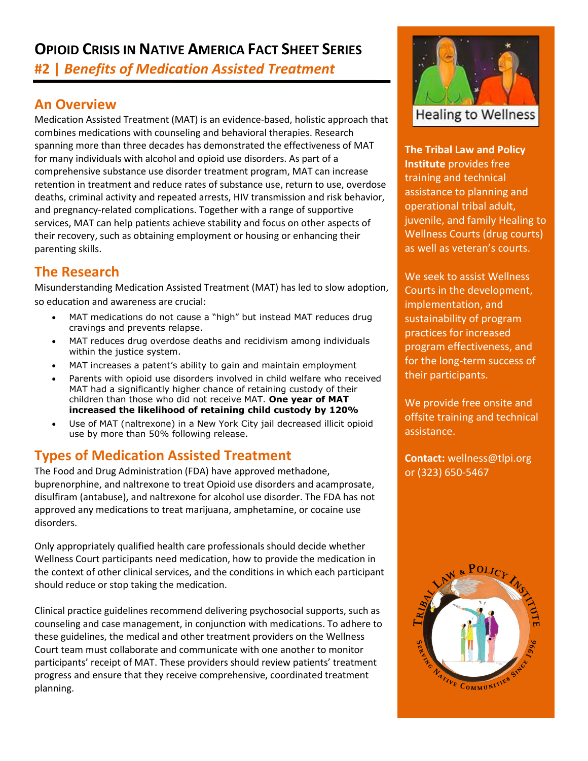# **OPIOID CRISIS IN NATIVE AMERICA FACT SHEET SERIES #2 |** *Benefits of Medication Assisted Treatment*

## **An Overview**

Medication Assisted Treatment (MAT) is an evidence-based, holistic approach that combines medications with counseling and behavioral therapies. Research spanning more than three decades has demonstrated the effectiveness of MAT for many individuals with alcohol and opioid use disorders. As part of a comprehensive substance use disorder treatment program, MAT can increase retention in treatment and reduce rates of substance use, return to use, overdose deaths, criminal activity and repeated arrests, HIV transmission and risk behavior, and pregnancy-related complications. Together with a range of supportive services, MAT can help patients achieve stability and focus on other aspects of their recovery, such as obtaining employment or housing or enhancing their parenting skills.

### **The Research**

Misunderstanding Medication Assisted Treatment (MAT) has led to slow adoption, so education and awareness are crucial:

- MAT medications do not cause a "high" but instead MAT reduces drug cravings and prevents relapse.
- MAT reduces drug overdose deaths and recidivism among individuals within the justice system.
- MAT increases a patent's ability to gain and maintain employment
- Parents with opioid use disorders involved in child welfare who received MAT had a significantly higher chance of retaining custody of their children than those who did not receive MAT. **One year of MAT increased the likelihood of retaining child custody by 120%**
- Use of MAT (naltrexone) in a New York City jail decreased illicit opioid use by more than 50% following release.

## **Types of Medication Assisted Treatment**

The Food and Drug Administration (FDA) have approved methadone, buprenorphine, and naltrexone to treat Opioid use disorders and acamprosate, disulfiram (antabuse), and naltrexone for alcohol use disorder. The FDA has not approved any medications to treat marijuana, amphetamine, or cocaine use disorders.

Only appropriately qualified health care professionals should decide whether Wellness Court participants need medication, how to provide the medication in the context of other clinical services, and the conditions in which each participant should reduce or stop taking the medication.

Clinical practice guidelines recommend delivering psychosocial supports, such as counseling and case management, in conjunction with medications. To adhere to these guidelines, the medical and other treatment providers on the Wellness Court team must collaborate and communicate with one another to monitor participants' receipt of MAT. These providers should review patients' treatment progress and ensure that they receive comprehensive, coordinated treatment planning.



**The Tribal Law and Policy Institute** provides free training and technical assistance to planning and operational tribal adult, juvenile, and family Healing to Wellness Courts (drug courts) as well as veteran's courts.

We seek to assist Wellness Courts in the development, implementation, and sustainability of program practices for increased program effectiveness, and for the long-term success of their participants.

We provide free onsite and offsite training and technical assistance.

**Contact:** wellness@tlpi.org or (323) 650-5467